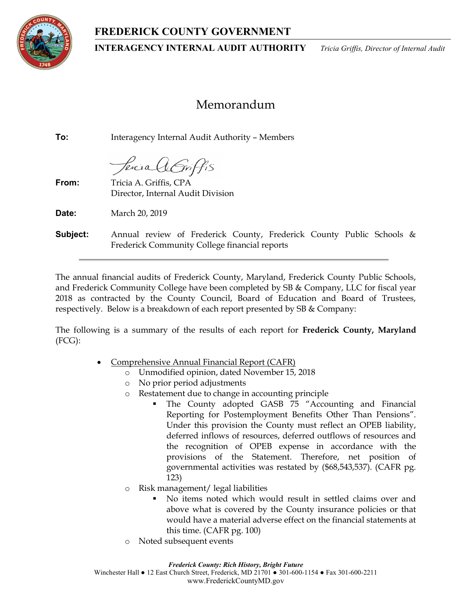# FREDERICK COUNTY GOVERNMENT



INTERAGENCY INTERNAL AUDIT AUTHORITY Tricia Griffis, Director of Internal Audit

# Memorandum

To: Interagency Internal Audit Authority – Members

Percia AGriffis

From: Tricia A. Griffis, CPA Director, Internal Audit Division

**Date:** March 20, 2019

**Subject:** Annual review of Frederick County, Frederick County Public Schools & Frederick Community College financial reports

The annual financial audits of Frederick County, Maryland, Frederick County Public Schools, and Frederick Community College have been completed by SB & Company, LLC for fiscal year 2018 as contracted by the County Council, Board of Education and Board of Trustees, respectively. Below is a breakdown of each report presented by SB & Company:

The following is a summary of the results of each report for Frederick County, Maryland (FCG):

- Comprehensive Annual Financial Report (CAFR)
	- o Unmodified opinion, dated November 15, 2018
	- o No prior period adjustments
	- o Restatement due to change in accounting principle
		- The County adopted GASB 75 "Accounting and Financial Reporting for Postemployment Benefits Other Than Pensions". Under this provision the County must reflect an OPEB liability, deferred inflows of resources, deferred outflows of resources and the recognition of OPEB expense in accordance with the provisions of the Statement. Therefore, net position of governmental activities was restated by (\$68,543,537). (CAFR pg. 123)
	- o Risk management/ legal liabilities
		- No items noted which would result in settled claims over and above what is covered by the County insurance policies or that would have a material adverse effect on the financial statements at this time. (CAFR pg. 100)
	- o Noted subsequent events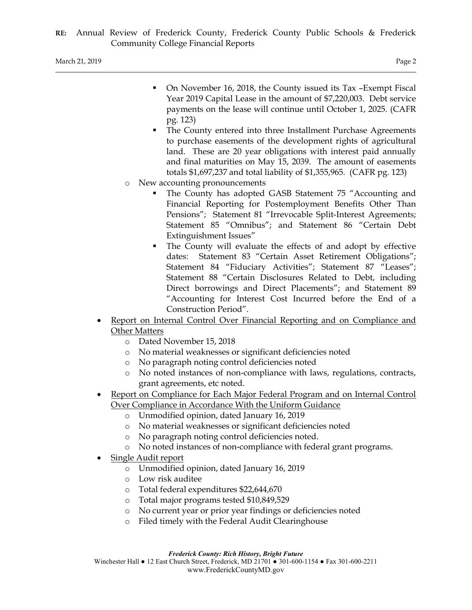March 21, 2019 Page 2

- On November 16, 2018, the County issued its Tax –Exempt Fiscal Year 2019 Capital Lease in the amount of \$7,220,003. Debt service payments on the lease will continue until October 1, 2025. (CAFR pg. 123)
- The County entered into three Installment Purchase Agreements to purchase easements of the development rights of agricultural land. These are 20 year obligations with interest paid annually and final maturities on May 15, 2039. The amount of easements totals \$1,697,237 and total liability of \$1,355,965. (CAFR pg. 123)
- o New accounting pronouncements
	- The County has adopted GASB Statement 75 "Accounting and Financial Reporting for Postemployment Benefits Other Than Pensions"; Statement 81 "Irrevocable Split-Interest Agreements; Statement 85 "Omnibus"; and Statement 86 "Certain Debt Extinguishment Issues"
	- The County will evaluate the effects of and adopt by effective dates: Statement 83 "Certain Asset Retirement Obligations"; Statement 84 "Fiduciary Activities"; Statement 87 "Leases"; Statement 88 "Certain Disclosures Related to Debt, including Direct borrowings and Direct Placements"; and Statement 89 "Accounting for Interest Cost Incurred before the End of a Construction Period".
- Report on Internal Control Over Financial Reporting and on Compliance and Other Matters
	- o Dated November 15, 2018
	- o No material weaknesses or significant deficiencies noted
	- o No paragraph noting control deficiencies noted
	- o No noted instances of non-compliance with laws, regulations, contracts, grant agreements, etc noted.
- Report on Compliance for Each Major Federal Program and on Internal Control Over Compliance in Accordance With the Uniform Guidance
	- o Unmodified opinion, dated January 16, 2019
	- o No material weaknesses or significant deficiencies noted
	- o No paragraph noting control deficiencies noted.
	- o No noted instances of non-compliance with federal grant programs.
- Single Audit report
	- o Unmodified opinion, dated January 16, 2019
	- o Low risk auditee
	- o Total federal expenditures \$22,644,670
	- o Total major programs tested \$10,849,529
	- o No current year or prior year findings or deficiencies noted
	- o Filed timely with the Federal Audit Clearinghouse

Frederick County: Rich History, Bright Future

Winchester Hall ● 12 East Church Street, Frederick, MD 21701 ● 301-600-1154 ● Fax 301-600-2211 www.FrederickCountyMD.gov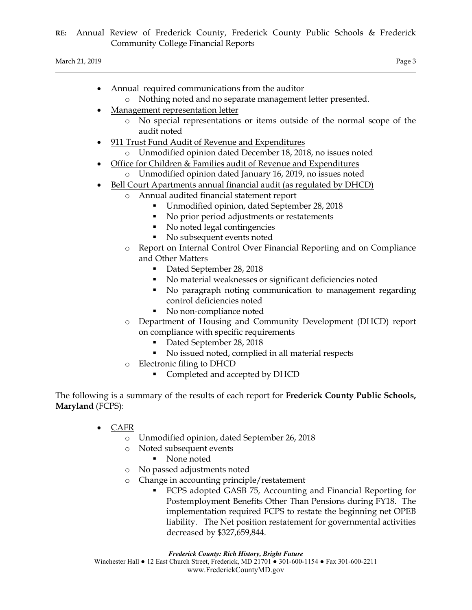March 21, 2019 Page 3

- Annual required communications from the auditor
	- o Nothing noted and no separate management letter presented.
- Management representation letter
	- o No special representations or items outside of the normal scope of the audit noted
- 911 Trust Fund Audit of Revenue and Expenditures
	- o Unmodified opinion dated December 18, 2018, no issues noted
- Office for Children & Families audit of Revenue and Expenditures
- o Unmodified opinion dated January 16, 2019, no issues noted
- Bell Court Apartments annual financial audit (as regulated by DHCD)
	- o Annual audited financial statement report
		- Unmodified opinion, dated September 28, 2018
		- No prior period adjustments or restatements
		- No noted legal contingencies
		- No subsequent events noted
	- o Report on Internal Control Over Financial Reporting and on Compliance and Other Matters
		- Dated September 28, 2018
		- No material weaknesses or significant deficiencies noted
		- No paragraph noting communication to management regarding control deficiencies noted
		- No non-compliance noted
	- o Department of Housing and Community Development (DHCD) report on compliance with specific requirements
		- Dated September 28, 2018
		- No issued noted, complied in all material respects
	- o Electronic filing to DHCD
		- Completed and accepted by DHCD

The following is a summary of the results of each report for Frederick County Public Schools, Maryland (FCPS):

- CAFR
	- o Unmodified opinion, dated September 26, 2018
	- o Noted subsequent events
		- None noted
	- o No passed adjustments noted
	- o Change in accounting principle/restatement
		- FCPS adopted GASB 75, Accounting and Financial Reporting for Postemployment Benefits Other Than Pensions during FY18. The implementation required FCPS to restate the beginning net OPEB liability. The Net position restatement for governmental activities decreased by \$327,659,844.

Frederick County: Rich History, Bright Future Winchester Hall ● 12 East Church Street, Frederick, MD 21701 ● 301-600-1154 ● Fax 301-600-2211 www.FrederickCountyMD.gov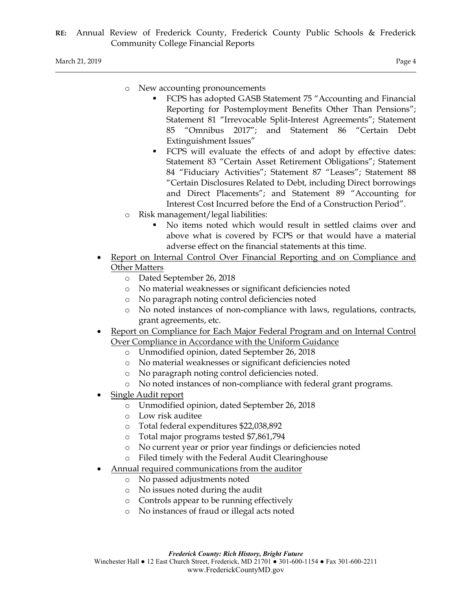- o New accounting pronouncements
	- FCPS has adopted GASB Statement 75 "Accounting and Financial Reporting for Postemployment Benefits Other Than Pensions"; Statement 81 "Irrevocable Split-Interest Agreements"; Statement 85 "Omnibus 2017"; and Statement 86 "Certain Debt Extinguishment Issues"
	- FCPS will evaluate the effects of and adopt by effective dates: Statement 83 "Certain Asset Retirement Obligations"; Statement 84 "Fiduciary Activities"; Statement 87 "Leases"; Statement 88 "Certain Disclosures Related to Debt, including Direct borrowings and Direct Placements"; and Statement 89 "Accounting for Interest Cost Incurred before the End of a Construction Period".
- o Risk management/legal liabilities:
	- No items noted which would result in settled claims over and above what is covered by FCPS or that would have a material adverse effect on the financial statements at this time.
- Report on Internal Control Over Financial Reporting and on Compliance and Other Matters
	- o Dated September 26, 2018
	- o No material weaknesses or significant deficiencies noted
	- o No paragraph noting control deficiencies noted
	- o No noted instances of non-compliance with laws, regulations, contracts, grant agreements, etc.
- Report on Compliance for Each Major Federal Program and on Internal Control Over Compliance in Accordance with the Uniform Guidance
	- o Unmodified opinion, dated September 26, 2018
	- o No material weaknesses or significant deficiencies noted
	- o No paragraph noting control deficiencies noted.
	- o No noted instances of non-compliance with federal grant programs.
- Single Audit report
	- o Unmodified opinion, dated September 26, 2018
	- o Low risk auditee
	- o Total federal expenditures \$22,038,892
	- o Total major programs tested \$7,861,794
	- o No current year or prior year findings or deficiencies noted
	- o Filed timely with the Federal Audit Clearinghouse
	- Annual required communications from the auditor
		- o No passed adjustments noted
		- o No issues noted during the audit
		- o Controls appear to be running effectively
		- o No instances of fraud or illegal acts noted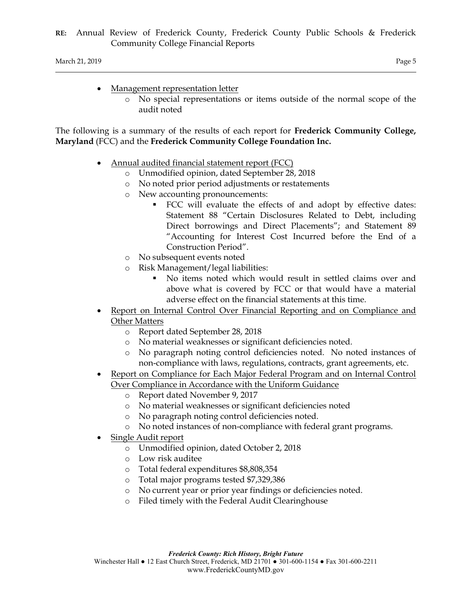March 21, 2019 Page 5

- Management representation letter
	- o No special representations or items outside of the normal scope of the audit noted

The following is a summary of the results of each report for Frederick Community College, Maryland (FCC) and the Frederick Community College Foundation Inc.

- Annual audited financial statement report (FCC)
	- o Unmodified opinion, dated September 28, 2018
	- o No noted prior period adjustments or restatements
	- o New accounting pronouncements:
		- FCC will evaluate the effects of and adopt by effective dates: Statement 88 "Certain Disclosures Related to Debt, including Direct borrowings and Direct Placements"; and Statement 89 "Accounting for Interest Cost Incurred before the End of a Construction Period".
	- o No subsequent events noted
	- o Risk Management/legal liabilities:
		- No items noted which would result in settled claims over and above what is covered by FCC or that would have a material adverse effect on the financial statements at this time.
- Report on Internal Control Over Financial Reporting and on Compliance and Other Matters
	- o Report dated September 28, 2018
	- o No material weaknesses or significant deficiencies noted.
	- o No paragraph noting control deficiencies noted. No noted instances of non-compliance with laws, regulations, contracts, grant agreements, etc.
- Report on Compliance for Each Major Federal Program and on Internal Control Over Compliance in Accordance with the Uniform Guidance
	- o Report dated November 9, 2017
	- o No material weaknesses or significant deficiencies noted
	- o No paragraph noting control deficiencies noted.
	- o No noted instances of non-compliance with federal grant programs.
- Single Audit report
	- o Unmodified opinion, dated October 2, 2018
	- o Low risk auditee
	- o Total federal expenditures \$8,808,354
	- o Total major programs tested \$7,329,386
	- o No current year or prior year findings or deficiencies noted.
	- o Filed timely with the Federal Audit Clearinghouse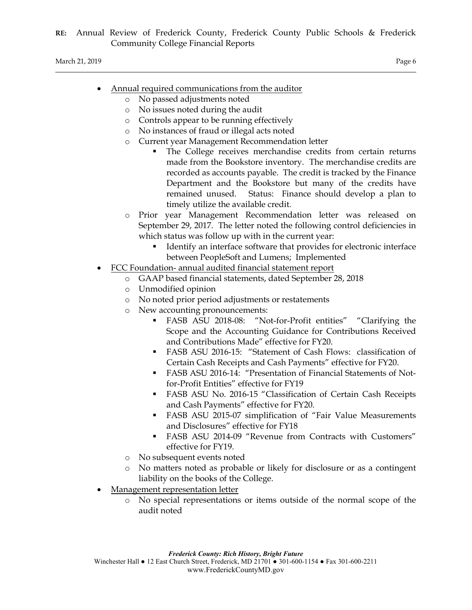- Annual required communications from the auditor
	- o No passed adjustments noted
	- o No issues noted during the audit
	- o Controls appear to be running effectively
	- o No instances of fraud or illegal acts noted
	- o Current year Management Recommendation letter
		- The College receives merchandise credits from certain returns made from the Bookstore inventory. The merchandise credits are recorded as accounts payable. The credit is tracked by the Finance Department and the Bookstore but many of the credits have remained unused. Status: Finance should develop a plan to timely utilize the available credit.
	- o Prior year Management Recommendation letter was released on September 29, 2017. The letter noted the following control deficiencies in which status was follow up with in the current year:
		- Identify an interface software that provides for electronic interface between PeopleSoft and Lumens; Implemented
- FCC Foundation- annual audited financial statement report
	- o GAAP based financial statements, dated September 28, 2018
	- o Unmodified opinion
	- o No noted prior period adjustments or restatements
	- New accounting pronouncements:
		- FASB ASU 2018-08: "Not-for-Profit entities" "Clarifying the Scope and the Accounting Guidance for Contributions Received and Contributions Made" effective for FY20.
		- FASB ASU 2016-15: "Statement of Cash Flows: classification of Certain Cash Receipts and Cash Payments" effective for FY20.
		- FASB ASU 2016-14: "Presentation of Financial Statements of Notfor-Profit Entities" effective for FY19
		- FASB ASU No. 2016-15 "Classification of Certain Cash Receipts and Cash Payments" effective for FY20.
		- FASB ASU 2015-07 simplification of "Fair Value Measurements and Disclosures" effective for FY18
		- FASB ASU 2014-09 "Revenue from Contracts with Customers" effective for FY19.
	- o No subsequent events noted
	- o No matters noted as probable or likely for disclosure or as a contingent liability on the books of the College.
- Management representation letter
	- o No special representations or items outside of the normal scope of the audit noted